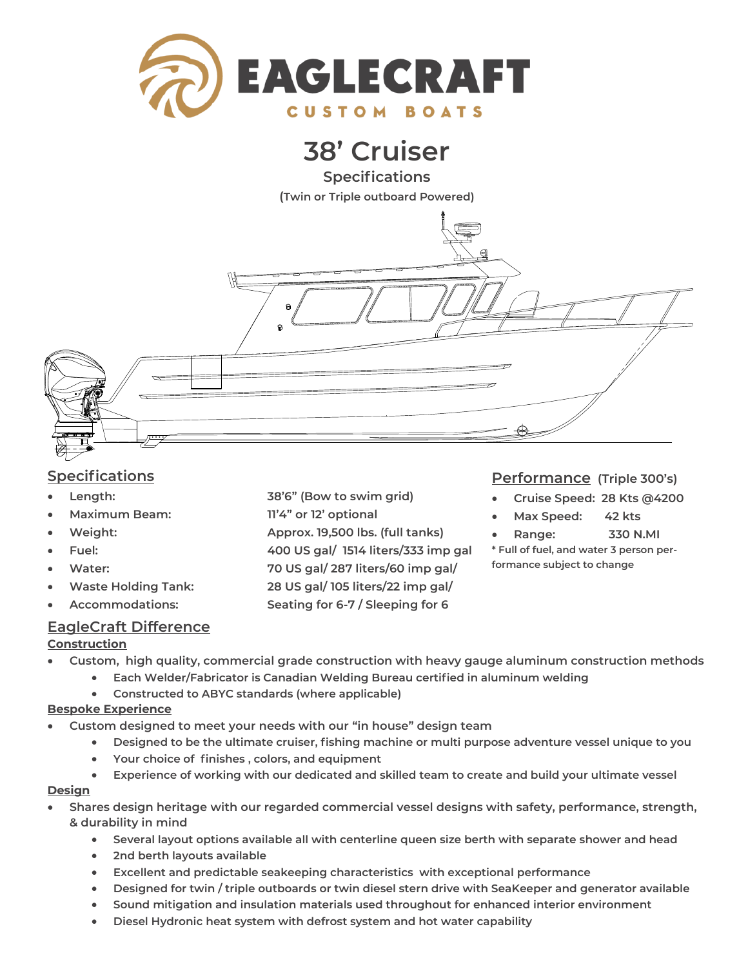

# **38' Cruiser**

**Specifications (Twin or Triple outboard Powered)**



## **Specifications**

- **Length: 38'6" (Bow to swim grid)**
- **Maximum Beam: 11'4" or 12' optional**
- **Weight: Approx. 19,500 lbs. (full tanks)**
- **Fuel: 400 US gal/ 1514 liters/333 imp gal**
- **Water: 70 US gal/ 287 liters/60 imp gal/**
- **Waste Holding Tank: 28 US gal/ 105 liters/22 imp gal/**
- **Accommodations: Seating for 6-7 / Sleeping for 6**

### **EagleCraft Difference**

#### **Construction**

- **Custom, high quality, commercial grade construction with heavy gauge aluminum construction methods**
	- **Each Welder/Fabricator is Canadian Welding Bureau certified in aluminum welding**
	- **Constructed to ABYC standards (where applicable)**

#### **Bespoke Experience**

- **Custom designed to meet your needs with our "in house" design team**
	- **Designed to be the ultimate cruiser, fishing machine or multi purpose adventure vessel unique to you**
	- **Your choice of finishes , colors, and equipment**
	- **Experience of working with our dedicated and skilled team to create and build your ultimate vessel**

#### **Design**

- **Shares design heritage with our regarded commercial vessel designs with safety, performance, strength, & durability in mind** 
	- **Several layout options available all with centerline queen size berth with separate shower and head**
	- **2nd berth layouts available**
	- **Excellent and predictable seakeeping characteristics with exceptional performance**
	- **Designed for twin / triple outboards or twin diesel stern drive with SeaKeeper and generator available**
	- **Sound mitigation and insulation materials used throughout for enhanced interior environment**
	- **Diesel Hydronic heat system with defrost system and hot water capability**

### **Performance (Triple 300's)**

- **Cruise Speed: 28 Kts @4200**
- **Max Speed: 42 kts**
- **Range: 330 N.MI**

**\* Full of fuel, and water 3 person performance subject to change**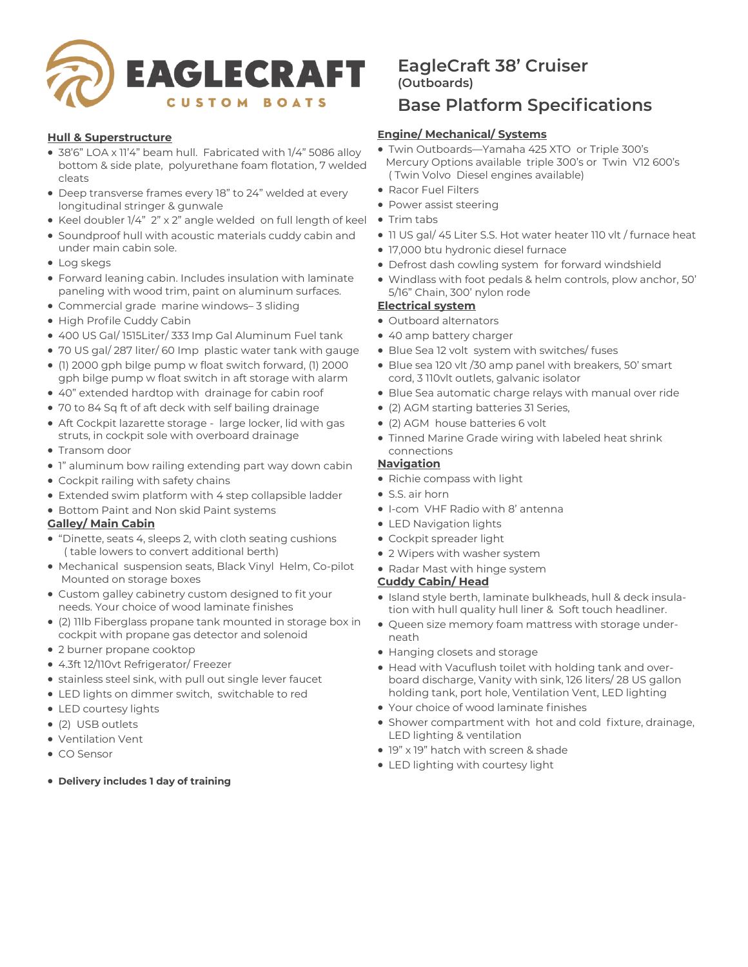

#### **Hull & Superstructure**

- 38'6" LOA x 11'4" beam hull. Fabricated with 1/4" 5086 alloy bottom & side plate, polyurethane foam flotation, 7 welded cleats
- Deep transverse frames every 18" to 24" welded at every longitudinal stringer & gunwale
- Keel doubler 1/4" 2" x 2" angle welded on full length of keel
- Soundproof hull with acoustic materials cuddy cabin and under main cabin sole.
- Log skegs
- Forward leaning cabin. Includes insulation with laminate paneling with wood trim, paint on aluminum surfaces.
- Commercial grade marine windows– 3 sliding
- High Profile Cuddy Cabin
- 400 US Gal/ 1515Liter/ 333 Imp Gal Aluminum Fuel tank
- 70 US gal/ 287 liter/ 60 Imp plastic water tank with gauge
- (1) 2000 gph bilge pump w float switch forward, (1) 2000 gph bilge pump w float switch in aft storage with alarm
- 40" extended hardtop with drainage for cabin roof
- 70 to 84 Sq ft of aft deck with self bailing drainage
- Aft Cockpit lazarette storage large locker, lid with gas struts, in cockpit sole with overboard drainage
- Transom door
- 1" aluminum bow railing extending part way down cabin
- Cockpit railing with safety chains
- Extended swim platform with 4 step collapsible ladder
- Bottom Paint and Non skid Paint systems

#### **Galley/ Main Cabin**

- "Dinette, seats 4, sleeps 2, with cloth seating cushions ( table lowers to convert additional berth)
- Mechanical suspension seats, Black Vinyl Helm, Co-pilot Mounted on storage boxes
- Custom galley cabinetry custom designed to fit your needs. Your choice of wood laminate finishes
- (2) 11lb Fiberglass propane tank mounted in storage box in cockpit with propane gas detector and solenoid
- 2 burner propane cooktop
- 4.3ft 12/110vt Refrigerator/ Freezer
- stainless steel sink, with pull out single lever faucet
- LED lights on dimmer switch, switchable to red
- LED courtesy lights
- (2) USB outlets
- Ventilation Vent
- CO Sensor
- **Delivery includes 1 day of training**

## **EagleCraft 38' Cruiser (Outboards)**

## **Base Platform Specifications**

### **Engine/ Mechanical/ Systems**

- Twin Outboards—Yamaha 425 XTO or Triple 300's Mercury Options available triple 300's or Twin V12 600's ( Twin Volvo Diesel engines available)
- Racor Fuel Filters
- Power assist steering
- Trim tabs
- 11 US gal/ 45 Liter S.S. Hot water heater 110 vlt / furnace heat
- 17,000 btu hydronic diesel furnace
- Defrost dash cowling system for forward windshield
- Windlass with foot pedals & helm controls, plow anchor, 50' 5/16" Chain, 300' nylon rode

#### **Electrical system**

- Outboard alternators
- 40 amp battery charger
- Blue Sea 12 volt system with switches/ fuses
- Blue sea 120 vlt /30 amp panel with breakers, 50' smart cord, 3 110vlt outlets, galvanic isolator
- Blue Sea automatic charge relays with manual over ride
- (2) AGM starting batteries 31 Series,
- (2) AGM house batteries 6 volt
- Tinned Marine Grade wiring with labeled heat shrink connections

#### **Navigation**

- Richie compass with light
- S.S. air horn
- I-com VHF Radio with 8' antenna
- LED Navigation lights
- Cockpit spreader light
- 2 Wipers with washer system
- Radar Mast with hinge system

#### **Cuddy Cabin/ Head**

- Island style berth, laminate bulkheads, hull & deck insulation with hull quality hull liner & Soft touch headliner.
- Queen size memory foam mattress with storage underneath
- Hanging closets and storage
- Head with Vacuflush toilet with holding tank and overboard discharge, Vanity with sink, 126 liters/ 28 US gallon holding tank, port hole, Ventilation Vent, LED lighting
- Your choice of wood laminate finishes
- Shower compartment with hot and cold fixture, drainage, LED lighting & ventilation
- 19" x 19" hatch with screen & shade
- LED lighting with courtesy light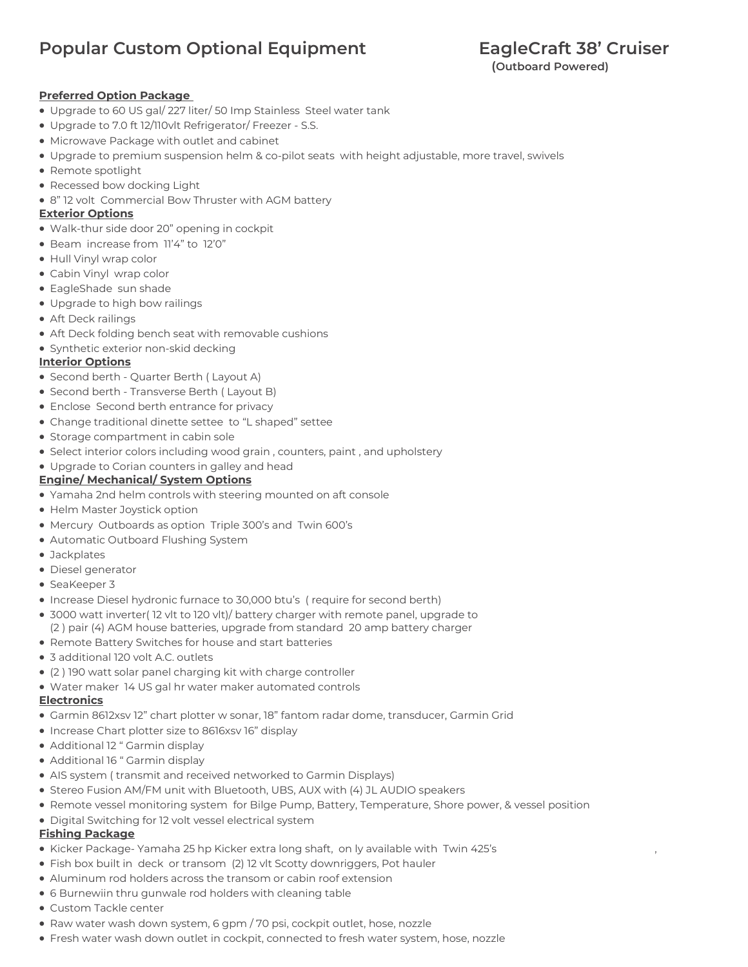## **Popular Custom Optional Equipment FagleCraft 38' Cruiser**

#### **Preferred Option Package**

- Upgrade to 60 US gal/ 227 liter/ 50 Imp Stainless Steel water tank
- Upgrade to 7.0 ft 12/110vlt Refrigerator/ Freezer S.S.
- Microwave Package with outlet and cabinet
- Upgrade to premium suspension helm & co-pilot seats with height adjustable, more travel, swivels
- Remote spotlight
- Recessed bow docking Light
- 8" 12 volt Commercial Bow Thruster with AGM battery

#### **Exterior Options**

- Walk-thur side door 20" opening in cockpit
- Beam increase from 11'4" to 12'0"
- Hull Vinyl wrap color
- Cabin Vinyl wrap color
- EagleShade sun shade
- Upgrade to high bow railings
- Aft Deck railings
- Aft Deck folding bench seat with removable cushions
- Synthetic exterior non-skid decking

#### **Interior Options**

- Second berth Quarter Berth ( Layout A)
- Second berth Transverse Berth ( Layout B)
- Enclose Second berth entrance for privacy
- Change traditional dinette settee to "L shaped" settee
- Storage compartment in cabin sole
- Select interior colors including wood grain , counters, paint , and upholstery
- Upgrade to Corian counters in galley and head

#### **Engine/ Mechanical/ System Options**

- Yamaha 2nd helm controls with steering mounted on aft console
- Helm Master Joystick option
- Mercury Outboards as option Triple 300's and Twin 600's
- Automatic Outboard Flushing System
- Jackplates
- Diesel generator
- SeaKeeper 3
- Increase Diesel hydronic furnace to 30,000 btu's ( require for second berth)
- 3000 watt inverter( 12 vlt to 120 vlt)/ battery charger with remote panel, upgrade to (2 ) pair (4) AGM house batteries, upgrade from standard 20 amp battery charger
- Remote Battery Switches for house and start batteries
- 3 additional 120 volt A.C. outlets
- (2 ) 190 watt solar panel charging kit with charge controller
- Water maker 14 US gal hr water maker automated controls

#### **Electronics**

- Garmin 8612xsv 12" chart plotter w sonar, 18" fantom radar dome, transducer, Garmin Grid
- Increase Chart plotter size to 8616xsv 16" display
- Additional 12 " Garmin display
- Additional 16 " Garmin display
- AIS system ( transmit and received networked to Garmin Displays)
- Stereo Fusion AM/FM unit with Bluetooth, UBS, AUX with (4) JL AUDIO speakers
- Remote vessel monitoring system for Bilge Pump, Battery, Temperature, Shore power, & vessel position
- Digital Switching for 12 volt vessel electrical system

#### **Fishing Package**

- Kicker Package- Yamaha 25 hp Kicker extra long shaft, on ly available with Twin 425's ,
- Fish box built in deck or transom (2) 12 vlt Scotty downriggers, Pot hauler
- Aluminum rod holders across the transom or cabin roof extension
- 6 Burnewiin thru gunwale rod holders with cleaning table
- Custom Tackle center
- Raw water wash down system, 6 gpm / 70 psi, cockpit outlet, hose, nozzle
- Fresh water wash down outlet in cockpit, connected to fresh water system, hose, nozzle